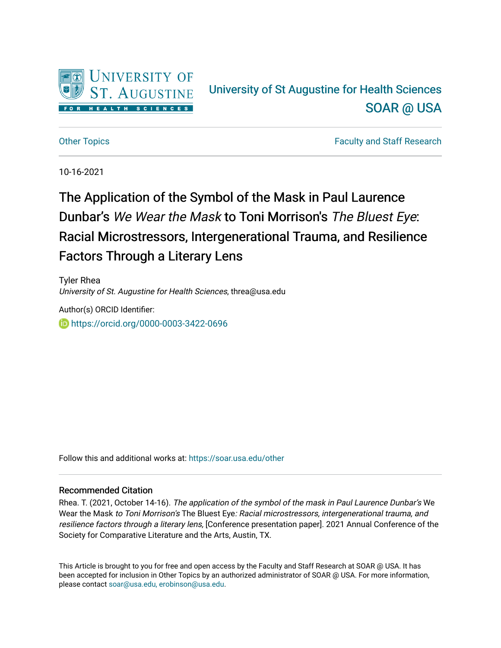

## University of St Augustine for Health Sciences [SOAR @ USA](https://soar.usa.edu/)

[Other Topics](https://soar.usa.edu/other) **Faculty and Staff Research Faculty and Staff Research** 

10-16-2021

# The Application of the Symbol of the Mask in Paul Laurence Dunbar's We Wear the Mask to Toni Morrison's The Bluest Eye: Racial Microstressors, Intergenerational Trauma, and Resilience Factors Through a Literary Lens

Tyler Rhea University of St. Augustine for Health Sciences, threa@usa.edu

Author(s) ORCID Identifier: <https://orcid.org/0000-0003-3422-0696>

Follow this and additional works at: [https://soar.usa.edu/other](https://soar.usa.edu/other?utm_source=soar.usa.edu%2Fother%2F14&utm_medium=PDF&utm_campaign=PDFCoverPages)

#### Recommended Citation

Rhea. T. (2021, October 14-16). The application of the symbol of the mask in Paul Laurence Dunbar's We Wear the Mask to Toni Morrison's The Bluest Eye: Racial microstressors, intergenerational trauma, and resilience factors through a literary lens, [Conference presentation paper]. 2021 Annual Conference of the Society for Comparative Literature and the Arts, Austin, TX.

This Article is brought to you for free and open access by the Faculty and Staff Research at SOAR @ USA. It has been accepted for inclusion in Other Topics by an authorized administrator of SOAR @ USA. For more information, please contact [soar@usa.edu, erobinson@usa.edu](mailto:soar@usa.edu,%20erobinson@usa.edu).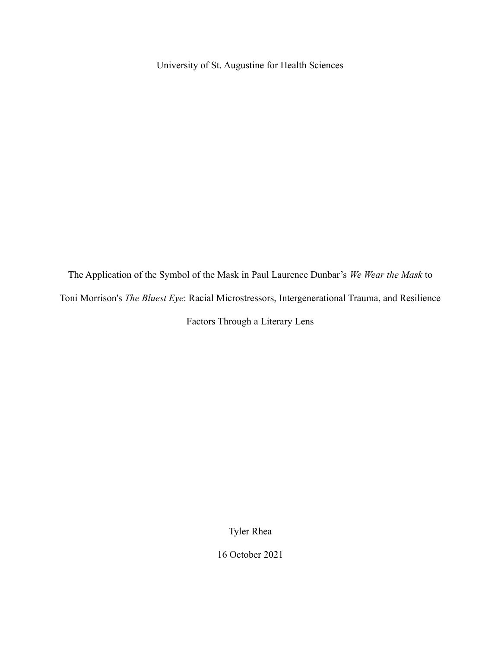University of St. Augustine for Health Sciences

The Application of the Symbol of the Mask in Paul Laurence Dunbar's *We Wear the Mask* to Toni Morrison's *The Bluest Eye*: Racial Microstressors, Intergenerational Trauma, and Resilience Factors Through a Literary Lens

Tyler Rhea

16 October 2021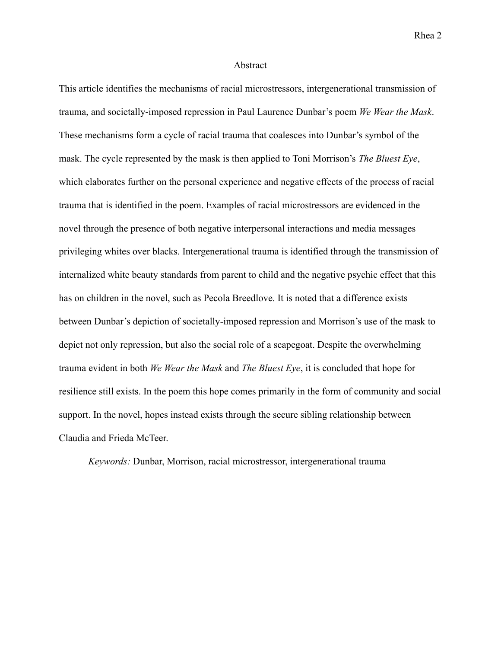#### Abstract

This article identifies the mechanisms of racial microstressors, intergenerational transmission of trauma, and societally-imposed repression in Paul Laurence Dunbar's poem *We Wear the Mask*. These mechanisms form a cycle of racial trauma that coalesces into Dunbar's symbol of the mask. The cycle represented by the mask is then applied to Toni Morrison's *The Bluest Eye*, which elaborates further on the personal experience and negative effects of the process of racial trauma that is identified in the poem. Examples of racial microstressors are evidenced in the novel through the presence of both negative interpersonal interactions and media messages privileging whites over blacks. Intergenerational trauma is identified through the transmission of internalized white beauty standards from parent to child and the negative psychic effect that this has on children in the novel, such as Pecola Breedlove. It is noted that a difference exists between Dunbar's depiction of societally-imposed repression and Morrison's use of the mask to depict not only repression, but also the social role of a scapegoat. Despite the overwhelming trauma evident in both *We Wear the Mask* and *The Bluest Eye*, it is concluded that hope for resilience still exists. In the poem this hope comes primarily in the form of community and social support. In the novel, hopes instead exists through the secure sibling relationship between Claudia and Frieda McTeer.

*Keywords:* Dunbar, Morrison, racial microstressor, intergenerational trauma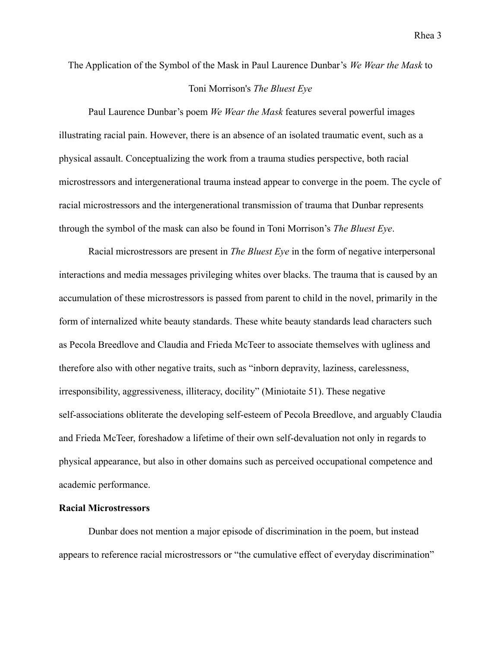The Application of the Symbol of the Mask in Paul Laurence Dunbar's *We Wear the Mask* to

### Toni Morrison's *The Bluest Eye*

Paul Laurence Dunbar's poem *We Wear the Mask* features several powerful images illustrating racial pain. However, there is an absence of an isolated traumatic event, such as a physical assault. Conceptualizing the work from a trauma studies perspective, both racial microstressors and intergenerational trauma instead appear to converge in the poem. The cycle of racial microstressors and the intergenerational transmission of trauma that Dunbar represents through the symbol of the mask can also be found in Toni Morrison's *The Bluest Eye*.

Racial microstressors are present in *The Bluest Eye* in the form of negative interpersonal interactions and media messages privileging whites over blacks. The trauma that is caused by an accumulation of these microstressors is passed from parent to child in the novel, primarily in the form of internalized white beauty standards. These white beauty standards lead characters such as Pecola Breedlove and Claudia and Frieda McTeer to associate themselves with ugliness and therefore also with other negative traits, such as "inborn depravity, laziness, carelessness, irresponsibility, aggressiveness, illiteracy, docility" (Miniotaite 51). These negative self-associations obliterate the developing self-esteem of Pecola Breedlove, and arguably Claudia and Frieda McTeer, foreshadow a lifetime of their own self-devaluation not only in regards to physical appearance, but also in other domains such as perceived occupational competence and academic performance.

#### **Racial Microstressors**

Dunbar does not mention a major episode of discrimination in the poem, but instead appears to reference racial microstressors or "the cumulative effect of everyday discrimination"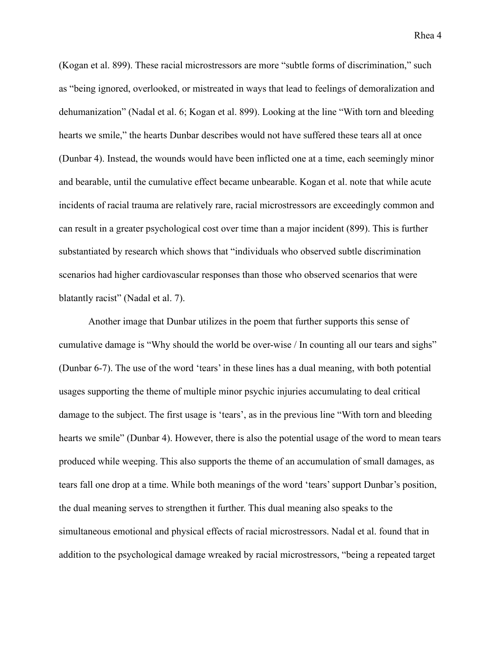(Kogan et al. 899). These racial microstressors are more "subtle forms of discrimination," such as "being ignored, overlooked, or mistreated in ways that lead to feelings of demoralization and dehumanization" (Nadal et al. 6; Kogan et al. 899). Looking at the line "With torn and bleeding hearts we smile," the hearts Dunbar describes would not have suffered these tears all at once (Dunbar 4). Instead, the wounds would have been inflicted one at a time, each seemingly minor and bearable, until the cumulative effect became unbearable. Kogan et al. note that while acute incidents of racial trauma are relatively rare, racial microstressors are exceedingly common and can result in a greater psychological cost over time than a major incident (899). This is further substantiated by research which shows that "individuals who observed subtle discrimination scenarios had higher cardiovascular responses than those who observed scenarios that were blatantly racist" (Nadal et al. 7).

Another image that Dunbar utilizes in the poem that further supports this sense of cumulative damage is "Why should the world be over-wise / In counting all our tears and sighs" (Dunbar 6-7). The use of the word 'tears' in these lines has a dual meaning, with both potential usages supporting the theme of multiple minor psychic injuries accumulating to deal critical damage to the subject. The first usage is 'tears', as in the previous line "With torn and bleeding hearts we smile" (Dunbar 4). However, there is also the potential usage of the word to mean tears produced while weeping. This also supports the theme of an accumulation of small damages, as tears fall one drop at a time. While both meanings of the word 'tears' support Dunbar's position, the dual meaning serves to strengthen it further. This dual meaning also speaks to the simultaneous emotional and physical effects of racial microstressors. Nadal et al. found that in addition to the psychological damage wreaked by racial microstressors, "being a repeated target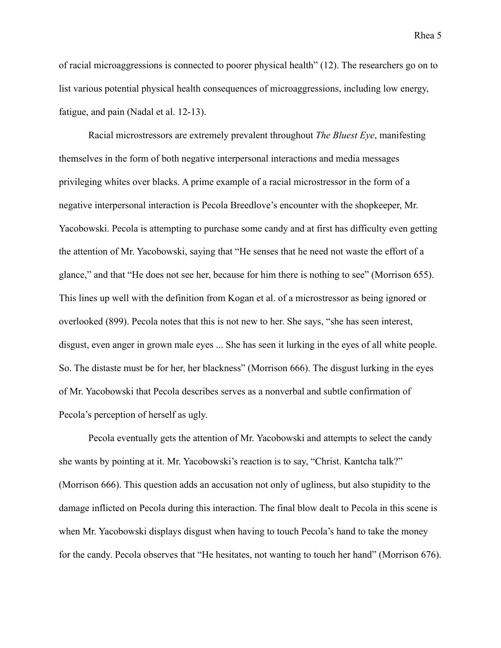of racial microaggressions is connected to poorer physical health" (12). The researchers go on to list various potential physical health consequences of microaggressions, including low energy, fatigue, and pain (Nadal et al. 12-13).

Racial microstressors are extremely prevalent throughout *The Bluest Eye*, manifesting themselves in the form of both negative interpersonal interactions and media messages privileging whites over blacks. A prime example of a racial microstressor in the form of a negative interpersonal interaction is Pecola Breedlove's encounter with the shopkeeper, Mr. Yacobowski. Pecola is attempting to purchase some candy and at first has difficulty even getting the attention of Mr. Yacobowski, saying that "He senses that he need not waste the effort of a glance," and that "He does not see her, because for him there is nothing to see" (Morrison 655). This lines up well with the definition from Kogan et al. of a microstressor as being ignored or overlooked (899). Pecola notes that this is not new to her. She says, "she has seen interest, disgust, even anger in grown male eyes ... She has seen it lurking in the eyes of all white people. So. The distaste must be for her, her blackness" (Morrison 666). The disgust lurking in the eyes of Mr. Yacobowski that Pecola describes serves as a nonverbal and subtle confirmation of Pecola's perception of herself as ugly.

Pecola eventually gets the attention of Mr. Yacobowski and attempts to select the candy she wants by pointing at it. Mr. Yacobowski's reaction is to say, "Christ. Kantcha talk?" (Morrison 666). This question adds an accusation not only of ugliness, but also stupidity to the damage inflicted on Pecola during this interaction. The final blow dealt to Pecola in this scene is when Mr. Yacobowski displays disgust when having to touch Pecola's hand to take the money for the candy. Pecola observes that "He hesitates, not wanting to touch her hand" (Morrison 676).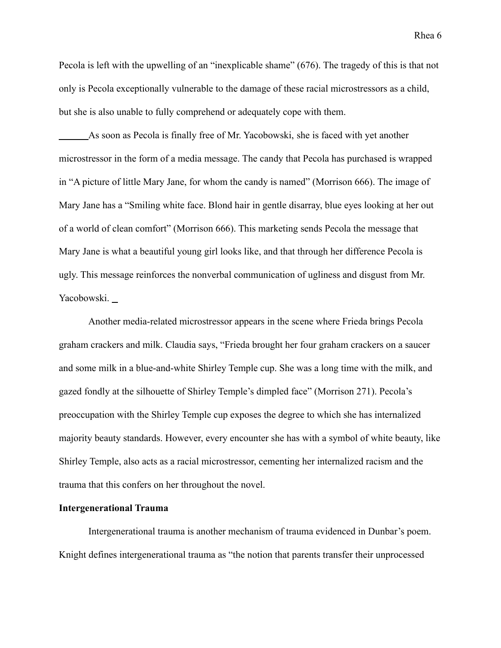Pecola is left with the upwelling of an "inexplicable shame" (676). The tragedy of this is that not only is Pecola exceptionally vulnerable to the damage of these racial microstressors as a child, but she is also unable to fully comprehend or adequately cope with them.

As soon as Pecola is finally free of Mr. Yacobowski, she is faced with yet another microstressor in the form of a media message. The candy that Pecola has purchased is wrapped in "A picture of little Mary Jane, for whom the candy is named" (Morrison 666). The image of Mary Jane has a "Smiling white face. Blond hair in gentle disarray, blue eyes looking at her out of a world of clean comfort" (Morrison 666). This marketing sends Pecola the message that Mary Jane is what a beautiful young girl looks like, and that through her difference Pecola is ugly. This message reinforces the nonverbal communication of ugliness and disgust from Mr. Yacobowski.

Another media-related microstressor appears in the scene where Frieda brings Pecola graham crackers and milk. Claudia says, "Frieda brought her four graham crackers on a saucer and some milk in a blue-and-white Shirley Temple cup. She was a long time with the milk, and gazed fondly at the silhouette of Shirley Temple's dimpled face" (Morrison 271). Pecola's preoccupation with the Shirley Temple cup exposes the degree to which she has internalized majority beauty standards. However, every encounter she has with a symbol of white beauty, like Shirley Temple, also acts as a racial microstressor, cementing her internalized racism and the trauma that this confers on her throughout the novel.

#### **Intergenerational Trauma**

Intergenerational trauma is another mechanism of trauma evidenced in Dunbar's poem. Knight defines intergenerational trauma as "the notion that parents transfer their unprocessed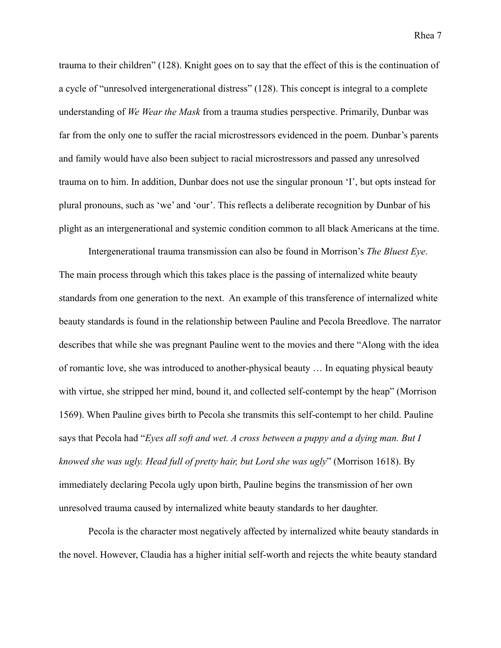trauma to their children" (128). Knight goes on to say that the effect of this is the continuation of a cycle of "unresolved intergenerational distress" (128). This concept is integral to a complete understanding of *We Wear the Mask* from a trauma studies perspective. Primarily, Dunbar was far from the only one to suffer the racial microstressors evidenced in the poem. Dunbar's parents and family would have also been subject to racial microstressors and passed any unresolved trauma on to him. In addition, Dunbar does not use the singular pronoun 'I', but opts instead for plural pronouns, such as 'we' and 'our'. This reflects a deliberate recognition by Dunbar of his plight as an intergenerational and systemic condition common to all black Americans at the time.

Intergenerational trauma transmission can also be found in Morrison's *The Bluest Eye*. The main process through which this takes place is the passing of internalized white beauty standards from one generation to the next. An example of this transference of internalized white beauty standards is found in the relationship between Pauline and Pecola Breedlove. The narrator describes that while she was pregnant Pauline went to the movies and there "Along with the idea of romantic love, she was introduced to another-physical beauty … In equating physical beauty with virtue, she stripped her mind, bound it, and collected self-contempt by the heap" (Morrison 1569). When Pauline gives birth to Pecola she transmits this self-contempt to her child. Pauline says that Pecola had "*Eyes all soft and wet. A cross between a puppy and a dying man. But I knowed she was ugly. Head full of pretty hair, but Lord she was ugly*" (Morrison 1618). By immediately declaring Pecola ugly upon birth, Pauline begins the transmission of her own unresolved trauma caused by internalized white beauty standards to her daughter.

Pecola is the character most negatively affected by internalized white beauty standards in the novel. However, Claudia has a higher initial self-worth and rejects the white beauty standard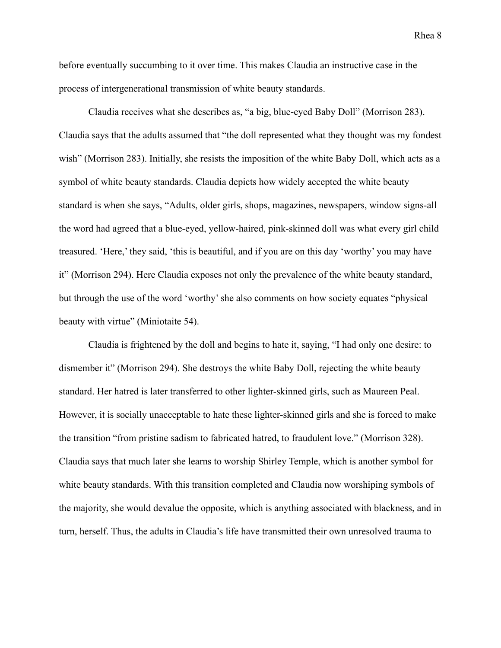before eventually succumbing to it over time. This makes Claudia an instructive case in the process of intergenerational transmission of white beauty standards.

Claudia receives what she describes as, "a big, blue-eyed Baby Doll" (Morrison 283). Claudia says that the adults assumed that "the doll represented what they thought was my fondest wish" (Morrison 283). Initially, she resists the imposition of the white Baby Doll, which acts as a symbol of white beauty standards. Claudia depicts how widely accepted the white beauty standard is when she says, "Adults, older girls, shops, magazines, newspapers, window signs-all the word had agreed that a blue-eyed, yellow-haired, pink-skinned doll was what every girl child treasured. 'Here,' they said, 'this is beautiful, and if you are on this day 'worthy' you may have it" (Morrison 294). Here Claudia exposes not only the prevalence of the white beauty standard, but through the use of the word 'worthy' she also comments on how society equates "physical beauty with virtue" (Miniotaite 54).

Claudia is frightened by the doll and begins to hate it, saying, "I had only one desire: to dismember it" (Morrison 294). She destroys the white Baby Doll, rejecting the white beauty standard. Her hatred is later transferred to other lighter-skinned girls, such as Maureen Peal. However, it is socially unacceptable to hate these lighter-skinned girls and she is forced to make the transition "from pristine sadism to fabricated hatred, to fraudulent love." (Morrison 328). Claudia says that much later she learns to worship Shirley Temple, which is another symbol for white beauty standards. With this transition completed and Claudia now worshiping symbols of the majority, she would devalue the opposite, which is anything associated with blackness, and in turn, herself. Thus, the adults in Claudia's life have transmitted their own unresolved trauma to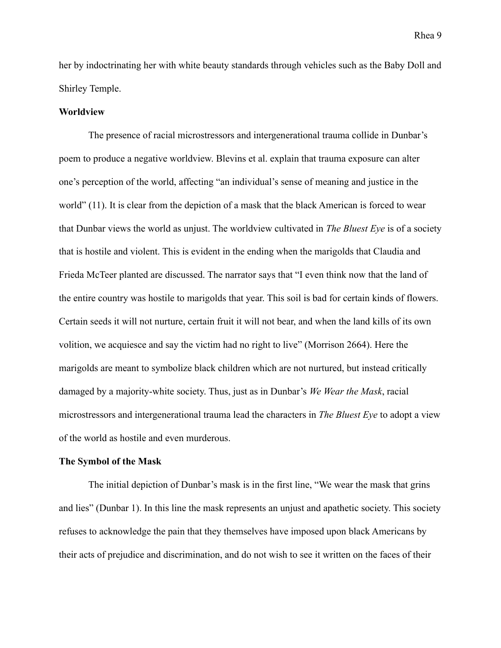her by indoctrinating her with white beauty standards through vehicles such as the Baby Doll and Shirley Temple.

#### **Worldview**

The presence of racial microstressors and intergenerational trauma collide in Dunbar's poem to produce a negative worldview. Blevins et al. explain that trauma exposure can alter one's perception of the world, affecting "an individual's sense of meaning and justice in the world" (11). It is clear from the depiction of a mask that the black American is forced to wear that Dunbar views the world as unjust. The worldview cultivated in *The Bluest Eye* is of a society that is hostile and violent. This is evident in the ending when the marigolds that Claudia and Frieda McTeer planted are discussed. The narrator says that "I even think now that the land of the entire country was hostile to marigolds that year. This soil is bad for certain kinds of flowers. Certain seeds it will not nurture, certain fruit it will not bear, and when the land kills of its own volition, we acquiesce and say the victim had no right to live" (Morrison 2664). Here the marigolds are meant to symbolize black children which are not nurtured, but instead critically damaged by a majority-white society. Thus, just as in Dunbar's *We Wear the Mask*, racial microstressors and intergenerational trauma lead the characters in *The Bluest Eye* to adopt a view of the world as hostile and even murderous.

#### **The Symbol of the Mask**

The initial depiction of Dunbar's mask is in the first line, "We wear the mask that grins and lies" (Dunbar 1). In this line the mask represents an unjust and apathetic society. This society refuses to acknowledge the pain that they themselves have imposed upon black Americans by their acts of prejudice and discrimination, and do not wish to see it written on the faces of their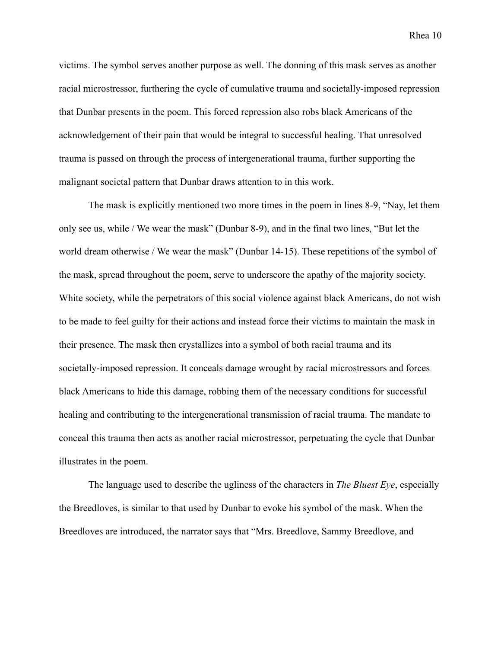victims. The symbol serves another purpose as well. The donning of this mask serves as another racial microstressor, furthering the cycle of cumulative trauma and societally-imposed repression that Dunbar presents in the poem. This forced repression also robs black Americans of the acknowledgement of their pain that would be integral to successful healing. That unresolved trauma is passed on through the process of intergenerational trauma, further supporting the malignant societal pattern that Dunbar draws attention to in this work.

The mask is explicitly mentioned two more times in the poem in lines 8-9, "Nay, let them only see us, while / We wear the mask" (Dunbar 8-9), and in the final two lines, "But let the world dream otherwise / We wear the mask" (Dunbar 14-15). These repetitions of the symbol of the mask, spread throughout the poem, serve to underscore the apathy of the majority society. White society, while the perpetrators of this social violence against black Americans, do not wish to be made to feel guilty for their actions and instead force their victims to maintain the mask in their presence. The mask then crystallizes into a symbol of both racial trauma and its societally-imposed repression. It conceals damage wrought by racial microstressors and forces black Americans to hide this damage, robbing them of the necessary conditions for successful healing and contributing to the intergenerational transmission of racial trauma. The mandate to conceal this trauma then acts as another racial microstressor, perpetuating the cycle that Dunbar illustrates in the poem.

The language used to describe the ugliness of the characters in *The Bluest Eye*, especially the Breedloves, is similar to that used by Dunbar to evoke his symbol of the mask. When the Breedloves are introduced, the narrator says that "Mrs. Breedlove, Sammy Breedlove, and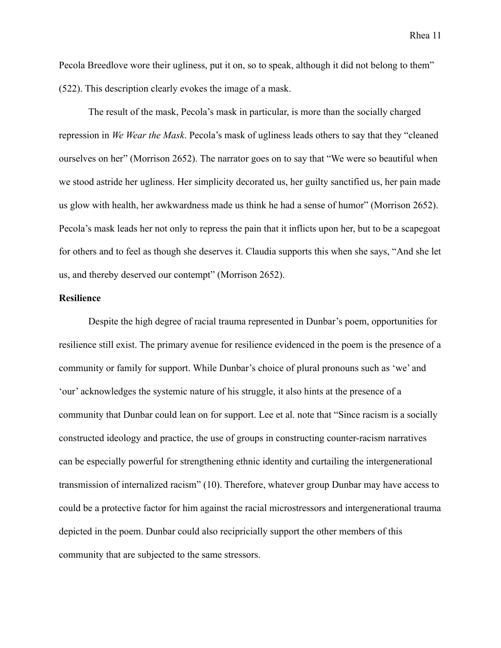Pecola Breedlove wore their ugliness, put it on, so to speak, although it did not belong to them" (522). This description clearly evokes the image of a mask.

The result of the mask, Pecola's mask in particular, is more than the socially charged repression in *We Wear the Mask*. Pecola's mask of ugliness leads others to say that they "cleaned ourselves on her" (Morrison 2652). The narrator goes on to say that "We were so beautiful when we stood astride her ugliness. Her simplicity decorated us, her guilty sanctified us, her pain made us glow with health, her awkwardness made us think he had a sense of humor" (Morrison 2652). Pecola's mask leads her not only to repress the pain that it inflicts upon her, but to be a scapegoat for others and to feel as though she deserves it. Claudia supports this when she says, "And she let us, and thereby deserved our contempt" (Morrison 2652).

#### **Resilience**

Despite the high degree of racial trauma represented in Dunbar's poem, opportunities for resilience still exist. The primary avenue for resilience evidenced in the poem is the presence of a community or family for support. While Dunbar's choice of plural pronouns such as 'we' and 'our' acknowledges the systemic nature of his struggle, it also hints at the presence of a community that Dunbar could lean on for support. Lee et al. note that "Since racism is a socially constructed ideology and practice, the use of groups in constructing counter-racism narratives can be especially powerful for strengthening ethnic identity and curtailing the intergenerational transmission of internalized racism" (10). Therefore, whatever group Dunbar may have access to could be a protective factor for him against the racial microstressors and intergenerational trauma depicted in the poem. Dunbar could also recipricially support the other members of this community that are subjected to the same stressors.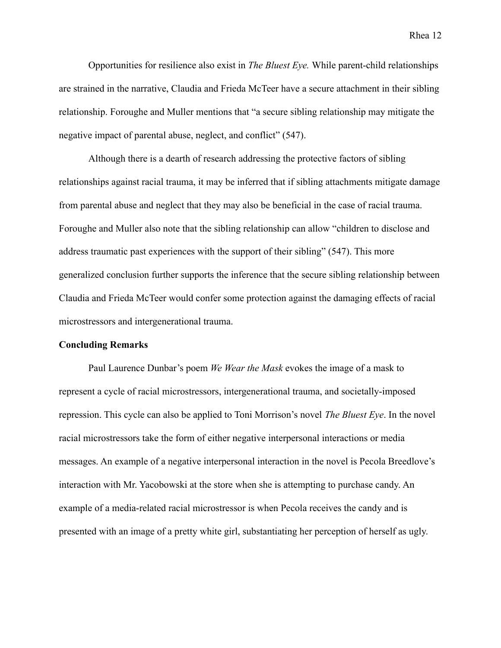Opportunities for resilience also exist in *The Bluest Eye.* While parent-child relationships are strained in the narrative, Claudia and Frieda McTeer have a secure attachment in their sibling relationship. Foroughe and Muller mentions that "a secure sibling relationship may mitigate the negative impact of parental abuse, neglect, and conflict" (547).

Although there is a dearth of research addressing the protective factors of sibling relationships against racial trauma, it may be inferred that if sibling attachments mitigate damage from parental abuse and neglect that they may also be beneficial in the case of racial trauma. Foroughe and Muller also note that the sibling relationship can allow "children to disclose and address traumatic past experiences with the support of their sibling" (547). This more generalized conclusion further supports the inference that the secure sibling relationship between Claudia and Frieda McTeer would confer some protection against the damaging effects of racial microstressors and intergenerational trauma.

#### **Concluding Remarks**

Paul Laurence Dunbar's poem *We Wear the Mask* evokes the image of a mask to represent a cycle of racial microstressors, intergenerational trauma, and societally-imposed repression. This cycle can also be applied to Toni Morrison's novel *The Bluest Eye*. In the novel racial microstressors take the form of either negative interpersonal interactions or media messages. An example of a negative interpersonal interaction in the novel is Pecola Breedlove's interaction with Mr. Yacobowski at the store when she is attempting to purchase candy. An example of a media-related racial microstressor is when Pecola receives the candy and is presented with an image of a pretty white girl, substantiating her perception of herself as ugly.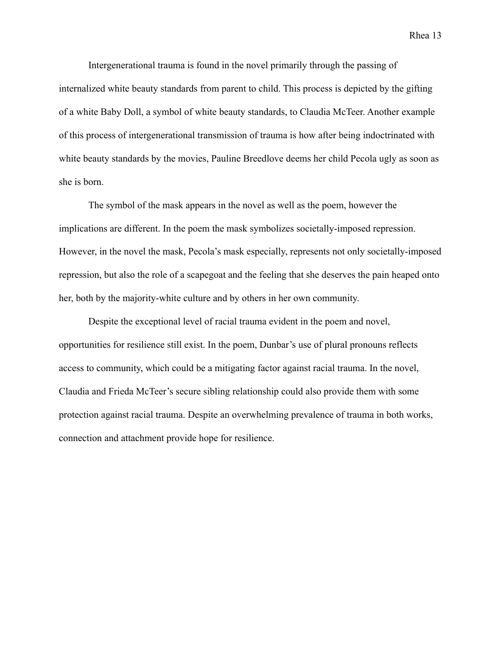Intergenerational trauma is found in the novel primarily through the passing of internalized white beauty standards from parent to child. This process is depicted by the gifting of a white Baby Doll, a symbol of white beauty standards, to Claudia McTeer. Another example of this process of intergenerational transmission of trauma is how after being indoctrinated with white beauty standards by the movies, Pauline Breedlove deems her child Pecola ugly as soon as she is born.

The symbol of the mask appears in the novel as well as the poem, however the implications are different. In the poem the mask symbolizes societally-imposed repression. However, in the novel the mask, Pecola's mask especially, represents not only societally-imposed repression, but also the role of a scapegoat and the feeling that she deserves the pain heaped onto her, both by the majority-white culture and by others in her own community.

Despite the exceptional level of racial trauma evident in the poem and novel, opportunities for resilience still exist. In the poem, Dunbar's use of plural pronouns reflects access to community, which could be a mitigating factor against racial trauma. In the novel, Claudia and Frieda McTeer's secure sibling relationship could also provide them with some protection against racial trauma. Despite an overwhelming prevalence of trauma in both works, connection and attachment provide hope for resilience.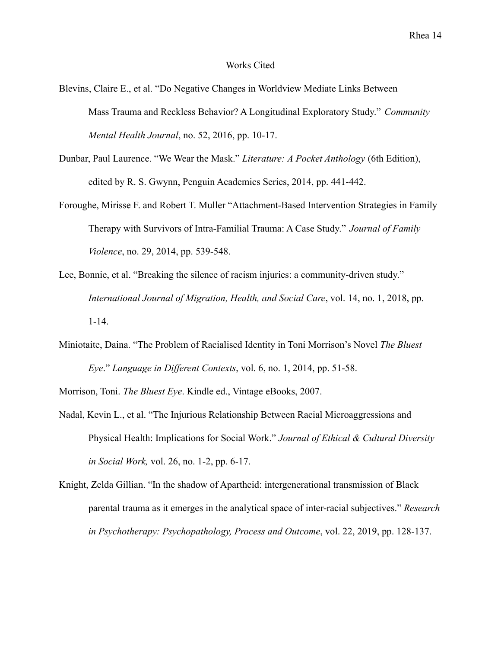#### Works Cited

- Blevins, Claire E., et al. "Do Negative Changes in Worldview Mediate Links Between Mass Trauma and Reckless Behavior? A Longitudinal Exploratory Study." *Community Mental Health Journal*, no. 52, 2016, pp. 10-17.
- Dunbar, Paul Laurence. "We Wear the Mask." *Literature: A Pocket Anthology* (6th Edition), edited by R. S. Gwynn, Penguin Academics Series, 2014, pp. 441-442.
- Foroughe, Mirisse F. and Robert T. Muller "Attachment-Based Intervention Strategies in Family Therapy with Survivors of Intra-Familial Trauma: A Case Study." *Journal of Family Violence*, no. 29, 2014, pp. 539-548.
- Lee, Bonnie, et al. "Breaking the silence of racism injuries: a community-driven study." *International Journal of Migration, Health, and Social Care*, vol. 14, no. 1, 2018, pp. 1-14.
- Miniotaite, Daina. "The Problem of Racialised Identity in Toni Morrison's Novel *The Bluest Eye*." *Language in Different Contexts*, vol. 6, no. 1, 2014, pp. 51-58.

Morrison, Toni. *The Bluest Eye*. Kindle ed., Vintage eBooks, 2007.

- Nadal, Kevin L., et al. "The Injurious Relationship Between Racial Microaggressions and Physical Health: Implications for Social Work." *Journal of Ethical & Cultural Diversity in Social Work,* vol. 26, no. 1-2, pp. 6-17.
- Knight, Zelda Gillian. "In the shadow of Apartheid: intergenerational transmission of Black parental trauma as it emerges in the analytical space of inter-racial subjectives." *Research in Psychotherapy: Psychopathology, Process and Outcome*, vol. 22, 2019, pp. 128-137.